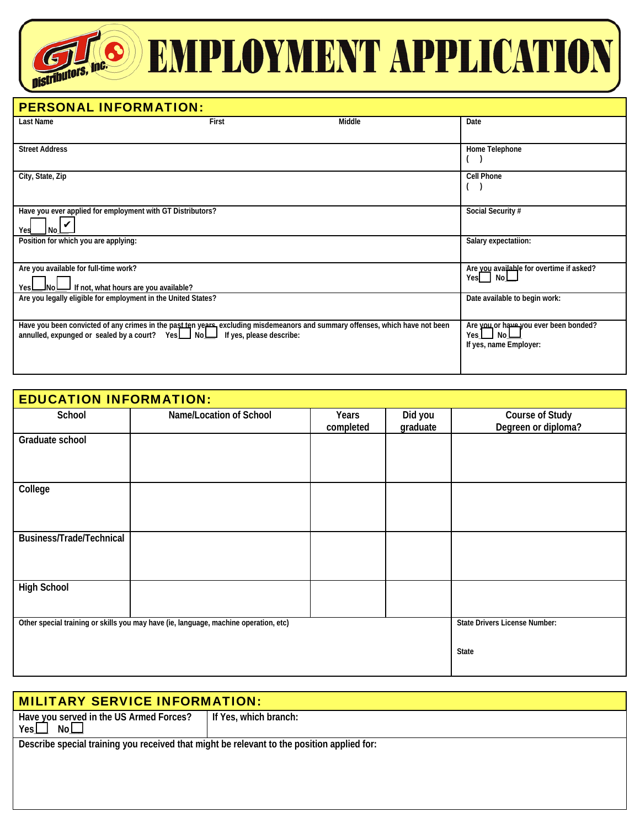## **SEMPLOYMENT APPLICATION**

| <b>PERSONAL INFORMATION:</b>                                                                   |       |                                                                                                                              |                                                                                         |
|------------------------------------------------------------------------------------------------|-------|------------------------------------------------------------------------------------------------------------------------------|-----------------------------------------------------------------------------------------|
| Last Name                                                                                      | First | Middle                                                                                                                       | Date                                                                                    |
|                                                                                                |       |                                                                                                                              |                                                                                         |
| <b>Street Address</b>                                                                          |       |                                                                                                                              | Home Telephone                                                                          |
| City, State, Zip                                                                               |       |                                                                                                                              | <b>Cell Phone</b>                                                                       |
| Have you ever applied for employment with GT Distributors?<br>Yes<br>l No I                    |       |                                                                                                                              | Social Security #                                                                       |
| Position for which you are applying:                                                           |       |                                                                                                                              | Salary expectatiion:                                                                    |
| Are you available for full-time work?<br>If not, what hours are you available?<br>JNol<br>YesL |       |                                                                                                                              | Are vou available for overtime if asked?<br>Yes No                                      |
| Are you legally eligible for employment in the United States?                                  |       |                                                                                                                              | Date available to begin work:                                                           |
| annulled, expunged or sealed by a court? Yes $\Box$ No $\Box$ If yes, please describe:         |       | Have you been convicted of any crimes in the past ten years excluding misdemeanors and summary offenses, which have not been | Are you or have you ever been bonded?<br>Yes $\Box$ No $\Box$<br>If yes, name Employer: |

**CETTINIANS, INC.** 

| <b>EDUCATION INFORMATION:</b> |                                                                                      |                    |                     |                                                      |
|-------------------------------|--------------------------------------------------------------------------------------|--------------------|---------------------|------------------------------------------------------|
| School                        | Name/Location of School                                                              | Years<br>completed | Did you<br>graduate | <b>Course of Study</b><br>Degreen or diploma?        |
| Graduate school               |                                                                                      |                    |                     |                                                      |
| College                       |                                                                                      |                    |                     |                                                      |
| Business/Trade/Technical      |                                                                                      |                    |                     |                                                      |
| <b>High School</b>            |                                                                                      |                    |                     |                                                      |
|                               | Other special training or skills you may have (ie, language, machine operation, etc) |                    |                     | <b>State Drivers License Number:</b><br><b>State</b> |

| MILITARY SERVICE INFORMATION:                                                              |                       |  |
|--------------------------------------------------------------------------------------------|-----------------------|--|
| Have you served in the US Armed Forces?<br>YesL<br>No L                                    | If Yes, which branch: |  |
| Describe special training you received that might be relevant to the position applied for: |                       |  |